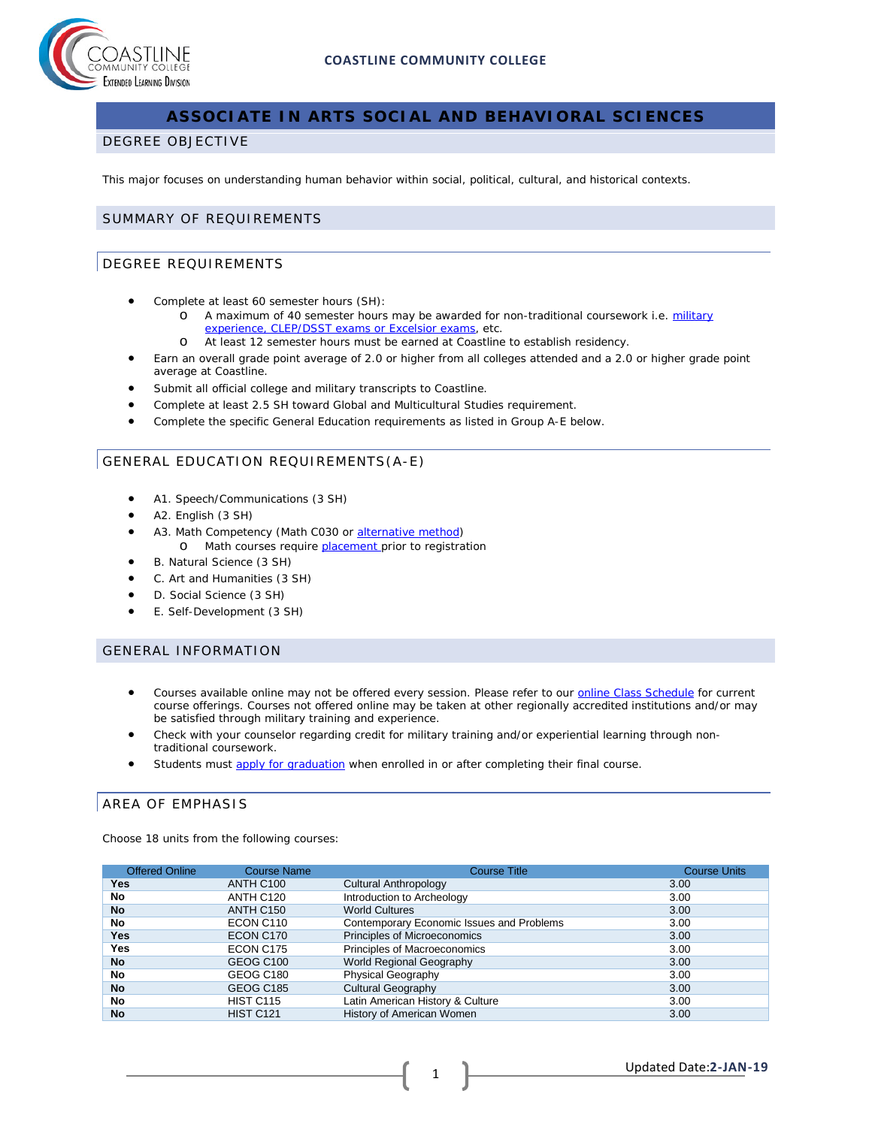

# **ASSOCIATE IN ARTS SOCIAL AND BEHAVIORAL SCIENCES**

#### DEGREE OBJECTIVE

This major focuses on understanding human behavior within social, political, cultural, and historical contexts.

#### SUMMARY OF REQUIREMENTS

#### DEGREE REQUIREMENTS

- Complete at least 60 semester hours (SH):
	- o A maximum of 40 semester hours may be awarded for non-traditional coursework i.e. military [experience, CLEP/DSST exams or Excelsior exams,](http://military.coastline.edu/page.cfm?LinkID=1473) etc.
	- o At least 12 semester hours must be earned at Coastline to establish residency.
- Earn an overall grade point average of 2.0 or higher from all colleges attended and a 2.0 or higher grade point average at Coastline.
- Submit all official college and military transcripts to Coastline.
- Complete at least 2.5 SH toward Global and Multicultural Studies requirement.
- Complete the specific General Education requirements as listed in Group A-E below.

# GENERAL EDUCATION REQUIREMENTS(A-E)

- A1. Speech/Communications (3 SH)
- A2. English (3 SH)
- A3. Math Competency (Math C030 or [alternative method\)](http://military.coastline.edu/forms/page.cfm?LinkID=1446)
	- o Math courses require **placement** prior to registration
- B. Natural Science (3 SH)
- C. Art and Humanities (3 SH)
- D. Social Science (3 SH)
- E. Self-Development (3 SH)

#### GENERAL INFORMATION

- Courses available online may not be offered every session. Please refer to our [online Class Schedule](http://military.coastline.edu/schedule/page.cfm?LinkID=1706) for current course offerings. Courses not offered online may be taken at other regionally accredited institutions and/or may be satisfied through military training and experience.
- Check with your counselor regarding credit for military training and/or experiential learning through nontraditional coursework.
- Students must [apply for graduation](http://military.coastline.edu/active-duty/page.cfm?LinkID=1437) when enrolled in or after completing their final course.

#### AREA OF EMPHASIS

Choose 18 units from the following courses:

| <b>Offered Online</b> | <b>Course Name</b> | <b>Course Title</b>                       | <b>Course Units</b> |
|-----------------------|--------------------|-------------------------------------------|---------------------|
| Yes                   | ANTH C100          | Cultural Anthropology                     | 3.00                |
| No                    | ANTH C120          | Introduction to Archeology                | 3.00                |
| <b>No</b>             | ANTH C150          | <b>World Cultures</b>                     | 3.00                |
| No                    | ECON C110          | Contemporary Economic Issues and Problems | 3.00                |
| <b>Yes</b>            | ECON C170          | Principles of Microeconomics              | 3.00                |
| Yes                   | ECON C175          | Principles of Macroeconomics              | 3.00                |
| <b>No</b>             | GEOG C100          | World Regional Geography                  | 3.00                |
| No                    | GEOG C180          | <b>Physical Geography</b>                 | 3.00                |
| <b>No</b>             | <b>GEOG C185</b>   | <b>Cultural Geography</b>                 | 3.00                |
| No                    | <b>HIST C115</b>   | Latin American History & Culture          | 3.00                |
| <b>No</b>             | <b>HIST C121</b>   | History of American Women                 | 3.00                |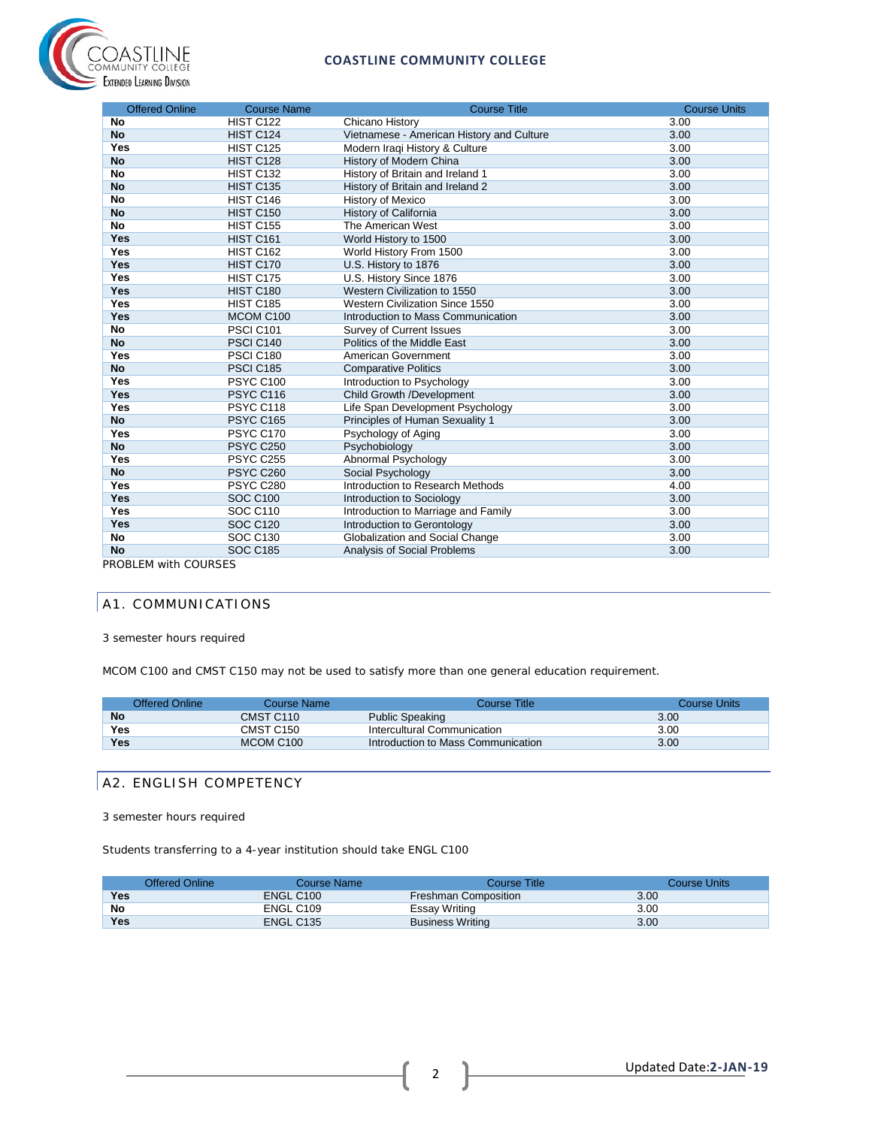## **COASTLINE COMMUNITY COLLEGE**



| <b>Offered Online</b> | <b>Course Name</b> | <b>Course Title</b>                       | <b>Course Units</b> |
|-----------------------|--------------------|-------------------------------------------|---------------------|
| No                    | <b>HIST C122</b>   | Chicano History                           | 3.00                |
| <b>No</b>             | <b>HIST C124</b>   | Vietnamese - American History and Culture | 3.00                |
| <b>Yes</b>            | <b>HIST C125</b>   | Modern Iraqi History & Culture            | 3.00                |
| <b>No</b>             | HIST C128          | History of Modern China                   | 3.00                |
| <b>No</b>             | <b>HIST C132</b>   | History of Britain and Ireland 1          | 3.00                |
| <b>No</b>             | <b>HIST C135</b>   | History of Britain and Ireland 2          | 3.00                |
| No                    | HIST C146          | History of Mexico                         | 3.00                |
| <b>No</b>             | <b>HIST C150</b>   | History of California                     | 3.00                |
| <b>No</b>             | <b>HIST C155</b>   | The American West                         | 3.00                |
| Yes                   | <b>HIST C161</b>   | World History to 1500                     | 3.00                |
| Yes                   | <b>HIST C162</b>   | World History From 1500                   | 3.00                |
| Yes                   | <b>HIST C170</b>   | U.S. History to 1876                      | 3.00                |
| Yes                   | HIST C175          | U.S. History Since 1876                   | 3.00                |
| Yes                   | HIST C180          | Western Civilization to 1550              | 3.00                |
| <b>Yes</b>            | <b>HIST C185</b>   | Western Civilization Since 1550           | 3.00                |
| Yes                   | MCOM C100          | Introduction to Mass Communication        | 3.00                |
| <b>No</b>             | PSCI C101          | Survey of Current Issues                  | 3.00                |
| <b>No</b>             | PSCI C140          | Politics of the Middle East               | 3.00                |
| Yes                   | PSCI C180          | American Government                       | 3.00                |
| <b>No</b>             | <b>PSCI C185</b>   | <b>Comparative Politics</b>               | 3.00                |
| <b>Yes</b>            | PSYC C100          | Introduction to Psychology                | 3.00                |
| Yes                   | PSYC C116          | Child Growth /Development                 | 3.00                |
| Yes                   | PSYC C118          | Life Span Development Psychology          | 3.00                |
| <b>No</b>             | <b>PSYC C165</b>   | Principles of Human Sexuality 1           | 3.00                |
| <b>Yes</b>            | PSYC C170          | Psychology of Aging                       | 3.00                |
| <b>No</b>             | <b>PSYC C250</b>   | Psychobiology                             | 3.00                |
| <b>Yes</b>            | <b>PSYC C255</b>   | Abnormal Psychology                       | 3.00                |
| <b>No</b>             | PSYC C260          | Social Psychology                         | 3.00                |
| <b>Yes</b>            | PSYC C280          | Introduction to Research Methods          | 4.00                |
| <b>Yes</b>            | <b>SOC C100</b>    | Introduction to Sociology                 | 3.00                |
| Yes                   | <b>SOC C110</b>    | Introduction to Marriage and Family       | 3.00                |
| Yes                   | <b>SOC C120</b>    | Introduction to Gerontology               | 3.00                |
| No                    | <b>SOC C130</b>    | Globalization and Social Change           | 3.00                |
| <b>No</b>             | <b>SOC C185</b>    | Analysis of Social Problems               | 3.00                |
| PROBLEM with COURSES  |                    |                                           |                     |

# A1. COMMUNICATIONS

3 semester hours required

MCOM C100 and CMST C150 may not be used to satisfy more than one general education requirement.

| Offered Online | Course Name           | Course Title:                      | Course Units |
|----------------|-----------------------|------------------------------------|--------------|
| <b>No</b>      | CMST C110             | <b>Public Speaking</b>             | 3.00         |
| Yes            | CMST C150             | Intercultural Communication        | 3.00         |
| <b>Yes</b>     | MCOM C <sub>100</sub> | Introduction to Mass Communication | 3.00         |

## A2. ENGLISH COMPETENCY

3 semester hours required

Students transferring to a 4-year institution should take ENGL C100

|            | <b>Offered Online</b> | Course Name | Course Title            | Course Units |
|------------|-----------------------|-------------|-------------------------|--------------|
| Yes        |                       | ENGL C100   | Freshman Composition    | 3.00         |
| No         |                       | ENGL C109   | Essay Writing           | 3.00         |
| <b>Yes</b> |                       | ENGL C135   | <b>Business Writing</b> | 3.00         |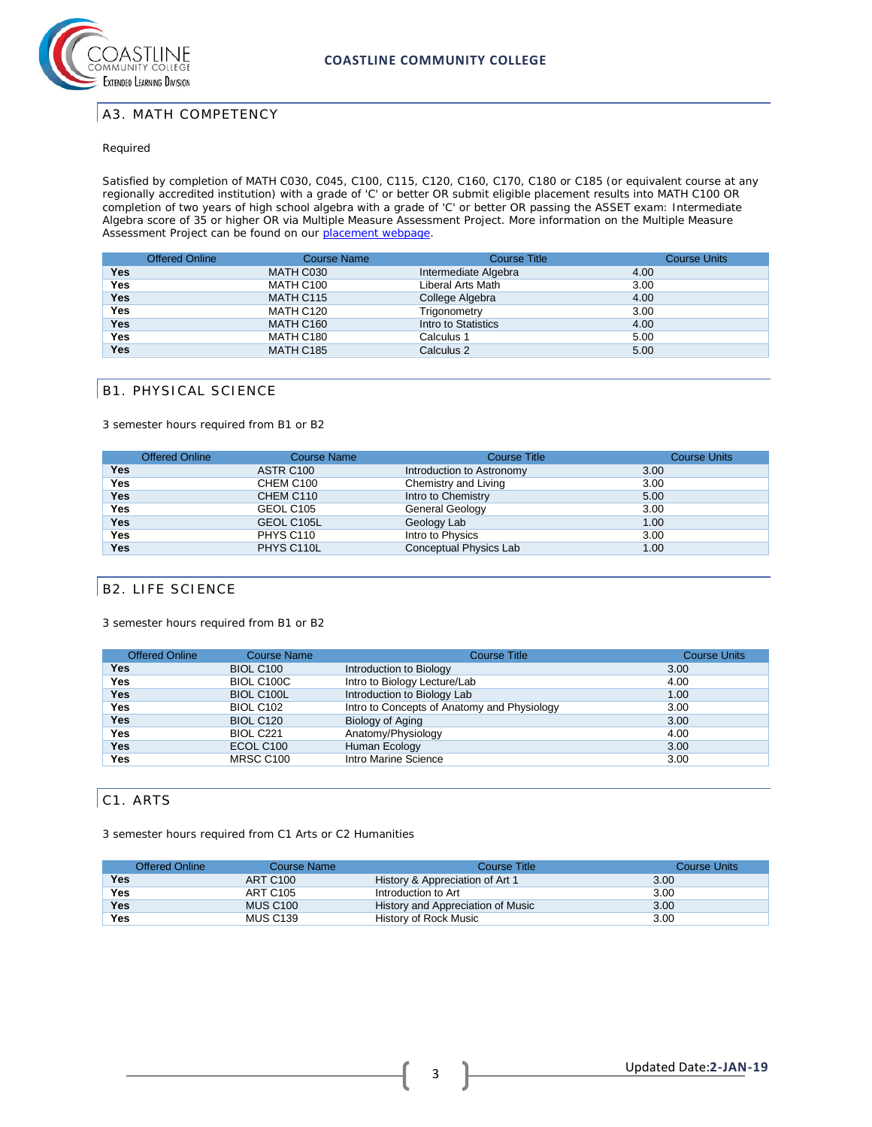

## A3. MATH COMPETENCY

#### Required

Satisfied by completion of MATH C030, C045, C100, C115, C120, C160, C170, C180 or C185 (or equivalent course at any regionally accredited institution) with a grade of 'C' or better OR submit eligible placement results into MATH C100 OR completion of two years of high school algebra with a grade of 'C' or better OR passing the ASSET exam: Intermediate Algebra score of 35 or higher OR via Multiple Measure Assessment Project. More information on the Multiple Measure Assessment Project can be found on our [placement webpage.](http://military.coastline.edu/active-duty/page.cfm?LinkID=1446)

|            | <b>Offered Online</b> | <b>Course Name</b> | <b>Course Title</b>  | <b>Course Units</b> |
|------------|-----------------------|--------------------|----------------------|---------------------|
| Yes        |                       | MATH C030          | Intermediate Algebra | 4.00                |
| Yes        |                       | MATH C100          | Liberal Arts Math    | 3.00                |
| <b>Yes</b> |                       | MATH C115          | College Algebra      | 4.00                |
| <b>Yes</b> |                       | MATH C120          | Trigonometry         | 3.00                |
| Yes        |                       | MATH C160          | Intro to Statistics  | 4.00                |
| <b>Yes</b> |                       | MATH C180          | Calculus 1           | 5.00                |
| <b>Yes</b> |                       | MATH C185          | Calculus 2           | 5.00                |

#### B1. PHYSICAL SCIENCE

3 semester hours required from B1 or B2

|            | <b>Offered Online</b> | <b>Course Name</b> | Course Title              | <b>Course Units</b> |
|------------|-----------------------|--------------------|---------------------------|---------------------|
| <b>Yes</b> |                       | ASTR C100          | Introduction to Astronomy | 3.00                |
| <b>Yes</b> |                       | CHEM C100          | Chemistry and Living      | 3.00                |
| <b>Yes</b> |                       | CHEM C110          | Intro to Chemistry        | 5.00                |
| <b>Yes</b> |                       | GEOL C105          | General Geology           | 3.00                |
| <b>Yes</b> |                       | GEOL C105L         | Geology Lab               | 1.00                |
| Yes        |                       | PHYS C110          | Intro to Physics          | 3.00                |
| <b>Yes</b> |                       | PHYS C110L         | Conceptual Physics Lab    | 1.00                |

## B2. LIFE SCIENCE

3 semester hours required from B1 or B2

| <b>Offered Online</b> | <b>Course Name</b>    | <b>Course Title</b>                         | <b>Course Units</b> |
|-----------------------|-----------------------|---------------------------------------------|---------------------|
| Yes                   | <b>BIOL C100</b>      | Introduction to Biology                     | 3.00                |
| Yes                   | BIOL C100C            | Intro to Biology Lecture/Lab                | 4.00                |
| Yes                   | <b>BIOL C100L</b>     | Introduction to Biology Lab                 | 1.00                |
| Yes                   | <b>BIOL C102</b>      | Intro to Concepts of Anatomy and Physiology | 3.00                |
| Yes                   | <b>BIOL C120</b>      | Biology of Aging                            | 3.00                |
| Yes                   | BIOL C <sub>221</sub> | Anatomy/Physiology                          | 4.00                |
| <b>Yes</b>            | ECOL C100             | Human Ecology                               | 3.00                |
| Yes                   | MRSC C100             | Intro Marine Science                        | 3.00                |

## C1. ARTS

3 semester hours required from C1 Arts or C2 Humanities

| <b>Offered Online</b> | Course Name          | Course Title                      | Course Units |
|-----------------------|----------------------|-----------------------------------|--------------|
| <b>Yes</b>            | ART C <sub>100</sub> | History & Appreciation of Art 1   | 3.00         |
| Yes                   | <b>ART C105</b>      | Introduction to Art               | 3.00         |
| <b>Yes</b>            | <b>MUS C100</b>      | History and Appreciation of Music | 3.00         |
| Yes                   | <b>MUS C139</b>      | History of Rock Music             | 3.00         |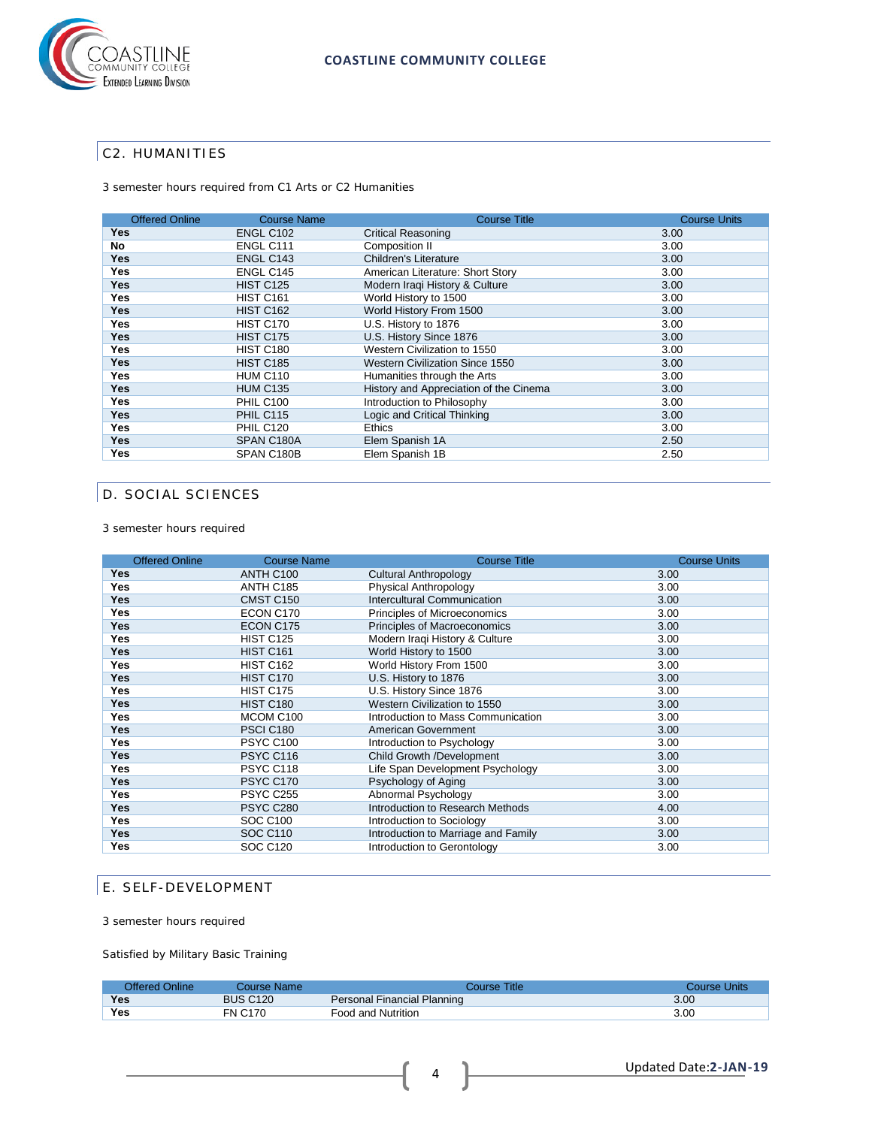

# C2. HUMANITIES

3 semester hours required from C1 Arts or C2 Humanities

| <b>Offered Online</b> | <b>Course Name</b> | <b>Course Title</b>                    | <b>Course Units</b> |
|-----------------------|--------------------|----------------------------------------|---------------------|
| Yes                   | ENGL C102          | <b>Critical Reasoning</b>              | 3.00                |
| No                    | ENGL C111          | Composition II                         | 3.00                |
| <b>Yes</b>            | ENGL C143          | Children's Literature                  | 3.00                |
| Yes                   | ENGL C145          | American Literature: Short Story       | 3.00                |
| <b>Yes</b>            | <b>HIST C125</b>   | Modern Iraqi History & Culture         | 3.00                |
| Yes                   | <b>HIST C161</b>   | World History to 1500                  | 3.00                |
| <b>Yes</b>            | <b>HIST C162</b>   | World History From 1500                | 3.00                |
| Yes                   | HIST C170          | U.S. History to 1876                   | 3.00                |
| <b>Yes</b>            | <b>HIST C175</b>   | U.S. History Since 1876                | 3.00                |
| <b>Yes</b>            | <b>HIST C180</b>   | Western Civilization to 1550           | 3.00                |
| <b>Yes</b>            | <b>HIST C185</b>   | <b>Western Civilization Since 1550</b> | 3.00                |
| <b>Yes</b>            | <b>HUM C110</b>    | Humanities through the Arts            | 3.00                |
| <b>Yes</b>            | <b>HUM C135</b>    | History and Appreciation of the Cinema | 3.00                |
| Yes                   | <b>PHIL C100</b>   | Introduction to Philosophy             | 3.00                |
| <b>Yes</b>            | <b>PHIL C115</b>   | Logic and Critical Thinking            | 3.00                |
| <b>Yes</b>            | <b>PHIL C120</b>   | <b>Ethics</b>                          | 3.00                |
| <b>Yes</b>            | SPAN C180A         | Elem Spanish 1A                        | 2.50                |
| Yes                   | SPAN C180B         | Elem Spanish 1B                        | 2.50                |

# D. SOCIAL SCIENCES

3 semester hours required

| <b>Offered Online</b> | <b>Course Name</b> | <b>Course Title</b>                 | <b>Course Units</b> |
|-----------------------|--------------------|-------------------------------------|---------------------|
| <b>Yes</b>            | ANTH C100          | <b>Cultural Anthropology</b>        | 3.00                |
| <b>Yes</b>            | ANTH C185          | Physical Anthropology               | 3.00                |
| <b>Yes</b>            | CMST C150          | <b>Intercultural Communication</b>  | 3.00                |
| <b>Yes</b>            | ECON C170          | Principles of Microeconomics        | 3.00                |
| <b>Yes</b>            | ECON C175          | Principles of Macroeconomics        | 3.00                |
| <b>Yes</b>            | <b>HIST C125</b>   | Modern Iraqi History & Culture      | 3.00                |
| <b>Yes</b>            | <b>HIST C161</b>   | World History to 1500               | 3.00                |
| <b>Yes</b>            | <b>HIST C162</b>   | World History From 1500             | 3.00                |
| <b>Yes</b>            | <b>HIST C170</b>   | U.S. History to 1876                | 3.00                |
| <b>Yes</b>            | <b>HIST C175</b>   | U.S. History Since 1876             | 3.00                |
| <b>Yes</b>            | <b>HIST C180</b>   | Western Civilization to 1550        | 3.00                |
| <b>Yes</b>            | MCOM C100          | Introduction to Mass Communication  | 3.00                |
| <b>Yes</b>            | <b>PSCI C180</b>   | American Government                 | 3.00                |
| <b>Yes</b>            | <b>PSYC C100</b>   | Introduction to Psychology          | 3.00                |
| <b>Yes</b>            | PSYC C116          | Child Growth /Development           | 3.00                |
| <b>Yes</b>            | PSYC C118          | Life Span Development Psychology    | 3.00                |
| <b>Yes</b>            | <b>PSYC C170</b>   | Psychology of Aging                 | 3.00                |
| <b>Yes</b>            | <b>PSYC C255</b>   | Abnormal Psychology                 | 3.00                |
| <b>Yes</b>            | <b>PSYC C280</b>   | Introduction to Research Methods    | 4.00                |
| <b>Yes</b>            | <b>SOC C100</b>    | Introduction to Sociology           | 3.00                |
| <b>Yes</b>            | <b>SOC C110</b>    | Introduction to Marriage and Family | 3.00                |
| Yes                   | <b>SOC C120</b>    | Introduction to Gerontology         | 3.00                |

# E. SELF-DEVELOPMENT

3 semester hours required

Satisfied by Military Basic Training

| <b>Offered Online</b> | Course Name:    | Course Title:               | Course Units |
|-----------------------|-----------------|-----------------------------|--------------|
| <b>Yes</b>            | <b>BUS C120</b> | Personal Financial Planning | 3.00         |
| Yes                   | <b>FN C170</b>  | Food and Nutrition          | 3.00         |